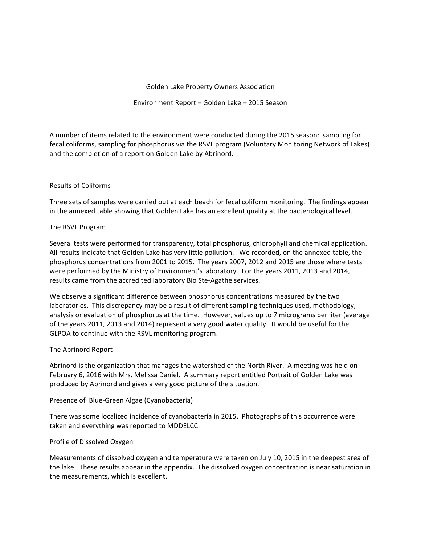## Golden Lake Property Owners Association

# Environment Report - Golden Lake - 2015 Season

A number of items related to the environment were conducted during the 2015 season: sampling for fecal coliforms, sampling for phosphorus via the RSVL program (Voluntary Monitoring Network of Lakes) and the completion of a report on Golden Lake by Abrinord.

# Results of Coliforms

Three sets of samples were carried out at each beach for fecal coliform monitoring. The findings appear in the annexed table showing that Golden Lake has an excellent quality at the bacteriological level.

### The RSVL Program

Several tests were performed for transparency, total phosphorus, chlorophyll and chemical application. All results indicate that Golden Lake has very little pollution. We recorded, on the annexed table, the phosphorus concentrations from 2001 to 2015. The years 2007, 2012 and 2015 are those where tests were performed by the Ministry of Environment's laboratory. For the years 2011, 2013 and 2014, results came from the accredited laboratory Bio Ste-Agathe services.

We observe a significant difference between phosphorus concentrations measured by the two laboratories. This discrepancy may be a result of different sampling techniques used, methodology, analysis or evaluation of phosphorus at the time. However, values up to 7 micrograms per liter (average of the years 2011, 2013 and 2014) represent a very good water quality. It would be useful for the GLPOA to continue with the RSVL monitoring program.

### The Abrinord Report

Abrinord is the organization that manages the watershed of the North River. A meeting was held on February 6, 2016 with Mrs. Melissa Daniel. A summary report entitled Portrait of Golden Lake was produced by Abrinord and gives a very good picture of the situation.

### Presence of Blue-Green Algae (Cyanobacteria)

There was some localized incidence of cyanobacteria in 2015. Photographs of this occurrence were taken and everything was reported to MDDELCC.

### Profile of Dissolved Oxygen

Measurements of dissolved oxygen and temperature were taken on July 10, 2015 in the deepest area of the lake. These results appear in the appendix. The dissolved oxygen concentration is near saturation in the measurements, which is excellent.